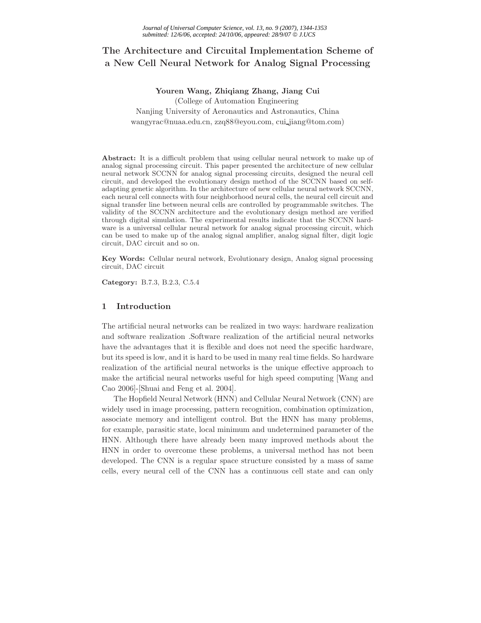# **The Architecture and Circuital Implementation Scheme of a New Cell Neural Network for Analog Signal Processing**

**Youren Wang, Zhiqiang Zhang, Jiang Cui** (College of Automation Engineering Nanjing University of Aeronautics and Astronautics, China wangyrac@nuaa.edu.cn, zzq88@eyou.com, cui jiang@tom.com)

**Abstract:** It is a difficult problem that using cellular neural network to make up of analog signal processing circuit. This paper presented the architecture of new cellular neural network SCCNN for analog signal processing circuits, designed the neural cell circuit, and developed the evolutionary design method of the SCCNN based on selfadapting genetic algorithm. In the architecture of new cellular neural network SCCNN, each neural cell connects with four neighborhood neural cells, the neural cell circuit and signal transfer line between neural cells are controlled by programmable switches. The validity of the SCCNN architecture and the evolutionary design method are verified through digital simulation. The experimental results indicate that the SCCNN hardware is a universal cellular neural network for analog signal processing circuit, which can be used to make up of the analog signal amplifier, analog signal filter, digit logic circuit, DAC circuit and so on.

**Key Words:** Cellular neural network, Evolutionary design, Analog signal processing circuit, DAC circuit

**Category:** B.7.3, B.2.3, C.5.4

### **1 Introduction**

The artificial neural networks can be realized in two ways: hardware realization and software realization .Software realization of the artificial neural networks have the advantages that it is flexible and does not need the specific hardware, but its speed is low, and it is hard to be used in many real time fields. So hardware realization of the artificial neural networks is the unique effective approach to make the artificial neural networks useful for high speed computing [Wang and Cao 2006]-[Shuai and Feng et al. 2004].

The Hopfield Neural Network (HNN) and Cellular Neural Network (CNN) are widely used in image processing, pattern recognition, combination optimization, associate memory and intelligent control. But the HNN has many problems, for example, parasitic state, local minimum and undetermined parameter of the HNN. Although there have already been many improved methods about the HNN in order to overcome these problems, a universal method has not been developed. The CNN is a regular space structure consisted by a mass of same cells, every neural cell of the CNN has a continuous cell state and can only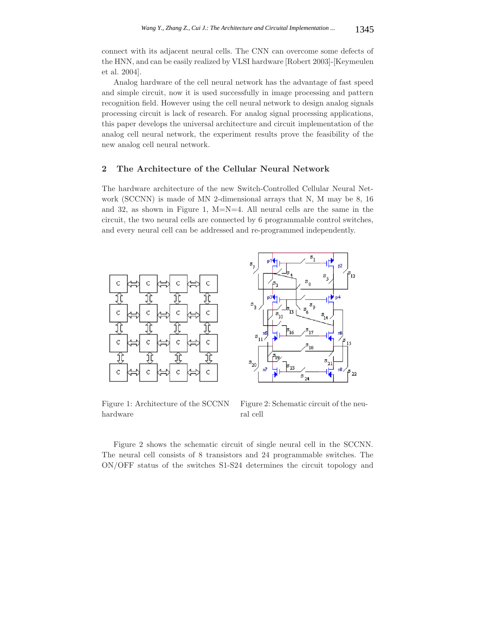connect with its adjacent neural cells. The CNN can overcome some defects of the HNN, and can be easily realized by VLSI hardware [Robert 2003]-[Keymeulen et al. 2004].

Analog hardware of the cell neural network has the advantage of fast speed and simple circuit, now it is used successfully in image processing and pattern recognition field. However using the cell neural network to design analog signals processing circuit is lack of research. For analog signal processing applications, this paper develops the universal architecture and circuit implementation of the analog cell neural network, the experiment results prove the feasibility of the new analog cell neural network.

## **2 The Architecture of the Cellular Neural Network**

The hardware architecture of the new Switch-Controlled Cellular Neural Network (SCCNN) is made of MN 2-dimensional arrays that N, M may be 8, 16 and 32, as shown in Figure 1,  $M=N=4$ . All neural cells are the same in the circuit, the two neural cells are connected by 6 programmable control switches, and every neural cell can be addressed and re-programmed independently.



Figure 1: Architecture of the SCCNN hardware



Figure 2: Schematic circuit of the neural cell

Figure 2 shows the schematic circuit of single neural cell in the SCCNN. The neural cell consists of 8 transistors and 24 programmable switches. The ON/OFF status of the switches S1-S24 determines the circuit topology and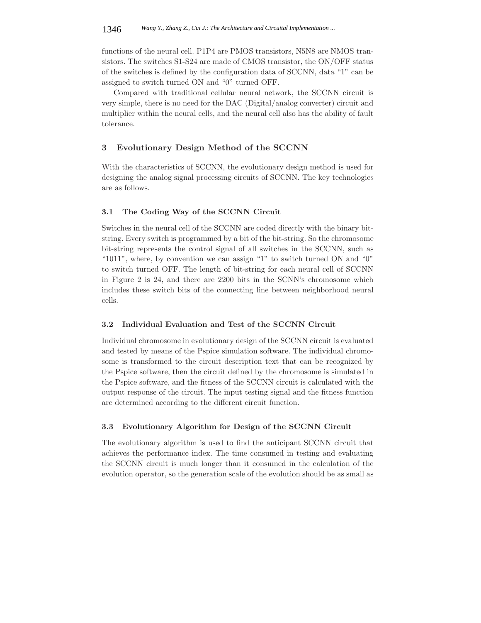functions of the neural cell. P1P4 are PMOS transistors, N5N8 are NMOS transistors. The switches S1-S24 are made of CMOS transistor, the ON/OFF status of the switches is defined by the configuration data of SCCNN, data "1" can be assigned to switch turned ON and "0" turned OFF.

Compared with traditional cellular neural network, the SCCNN circuit is very simple, there is no need for the DAC (Digital/analog converter) circuit and multiplier within the neural cells, and the neural cell also has the ability of fault tolerance.

### **3 Evolutionary Design Method of the SCCNN**

With the characteristics of SCCNN, the evolutionary design method is used for designing the analog signal processing circuits of SCCNN. The key technologies are as follows.

### **3.1 The Coding Way of the SCCNN Circuit**

Switches in the neural cell of the SCCNN are coded directly with the binary bitstring. Every switch is programmed by a bit of the bit-string. So the chromosome bit-string represents the control signal of all switches in the SCCNN, such as "1011", where, by convention we can assign "1" to switch turned ON and "0" to switch turned OFF. The length of bit-string for each neural cell of SCCNN in Figure 2 is 24, and there are 2200 bits in the SCNN's chromosome which includes these switch bits of the connecting line between neighborhood neural cells.

### **3.2 Individual Evaluation and Test of the SCCNN Circuit**

Individual chromosome in evolutionary design of the SCCNN circuit is evaluated and tested by means of the Pspice simulation software. The individual chromosome is transformed to the circuit description text that can be recognized by the Pspice software, then the circuit defined by the chromosome is simulated in the Pspice software, and the fitness of the SCCNN circuit is calculated with the output response of the circuit. The input testing signal and the fitness function are determined according to the different circuit function.

### **3.3 Evolutionary Algorithm for Design of the SCCNN Circuit**

The evolutionary algorithm is used to find the anticipant SCCNN circuit that achieves the performance index. The time consumed in testing and evaluating the SCCNN circuit is much longer than it consumed in the calculation of the evolution operator, so the generation scale of the evolution should be as small as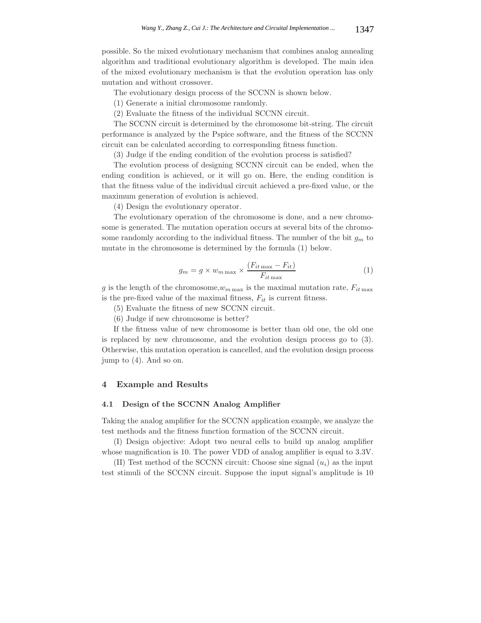possible. So the mixed evolutionary mechanism that combines analog annealing algorithm and traditional evolutionary algorithm is developed. The main idea of the mixed evolutionary mechanism is that the evolution operation has only mutation and without crossover.

The evolutionary design process of the SCCNN is shown below.

(1) Generate a initial chromosome randomly.

(2) Evaluate the fitness of the individual SCCNN circuit.

The SCCNN circuit is determined by the chromosome bit-string. The circuit performance is analyzed by the Pspice software, and the fitness of the SCCNN circuit can be calculated according to corresponding fitness function.

(3) Judge if the ending condition of the evolution process is satisfied?

The evolution process of designing SCCNN circuit can be ended, when the ending condition is achieved, or it will go on. Here, the ending condition is that the fitness value of the individual circuit achieved a pre-fixed value, or the maximum generation of evolution is achieved.

(4) Design the evolutionary operator.

The evolutionary operation of the chromosome is done, and a new chromosome is generated. The mutation operation occurs at several bits of the chromosome randomly according to the individual fitness. The number of the bit <sup>g</sup>*<sup>m</sup>* to mutate in the chromosome is determined by the formula (1) below.

$$
g_m = g \times w_{m \max} \times \frac{(F_{it \max} - F_{it})}{F_{it \max}} \tag{1}
$$

g is the length of the chromosome, $w_{m \text{ max}}$  is the maximal mutation rate,  $F_{it \text{ max}}$ <br>is the pre-fixed value of the maximal fitness.  $F_{it}$  is support fitness. is the pre-fixed value of the maximal fitness,  $F_{it}$  is current fitness.

(5) Evaluate the fitness of new SCCNN circuit.

(6) Judge if new chromosome is better?

If the fitness value of new chromosome is better than old one, the old one is replaced by new chromosome, and the evolution design process go to (3). Otherwise, this mutation operation is cancelled, and the evolution design process jump to (4). And so on.

### **4 Example and Results**

#### **4.1 Design of the SCCNN Analog Amplifier**

Taking the analog amplifier for the SCCNN application example, we analyze the test methods and the fitness function formation of the SCCNN circuit.

(I) Design objective: Adopt two neural cells to build up analog amplifier whose magnification is 10. The power VDD of analog amplifier is equal to 3.3V.

(II) Test method of the SCCNN circuit: Choose sine signal  $(u_i)$  as the input test stimuli of the SCCNN circuit. Suppose the input signal's amplitude is 10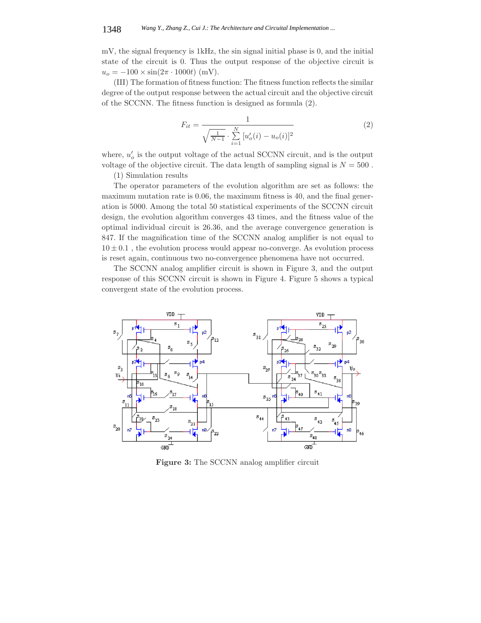mV, the signal frequency is 1kHz, the sin signal initial phase is 0, and the initial state of the circuit is 0. Thus the output response of the objective circuit is  $u_o = -100 \times \sin(2\pi \cdot 1000t)$  (mV).

(III) The formation of fitness function: The fitness function reflects the similar degree of the output response between the actual circuit and the objective circuit of the SCCNN. The fitness function is designed as formula (2).

$$
F_{it} = \frac{1}{\sqrt{\frac{1}{N-1}} \cdot \sum_{i=1}^{N} [u'_o(i) - u_o(i)]^2}
$$
(2)

where,  $u'_{o}$  is the output voltage of the actual SCCNN circuit, and is the output<br>voltage of the objective given it. The data least he f sempling signal is  $N = 500$ voltage of the objective circuit. The data length of sampling signal is  $N = 500$ .

(1) Simulation results

The operator parameters of the evolution algorithm are set as follows: the maximum mutation rate is 0.06, the maximum fitness is 40, and the final generation is 5000. Among the total 50 statistical experiments of the SCCNN circuit design, the evolution algorithm converges 43 times, and the fitness value of the optimal individual circuit is 26.36, and the average convergence generation is 847. If the magnification time of the SCCNN analog amplifier is not equal to <sup>10</sup> *<sup>±</sup>* <sup>0</sup>.1 , the evolution process would appear no-converge. As evolution process is reset again, continuous two no-convergence phenomena have not occurred.

The SCCNN analog amplifier circuit is shown in Figure 3, and the output response of this SCCNN circuit is shown in Figure 4. Figure 5 shows a typical convergent state of the evolution process.



**Figure 3:** The SCCNN analog amplifier circuit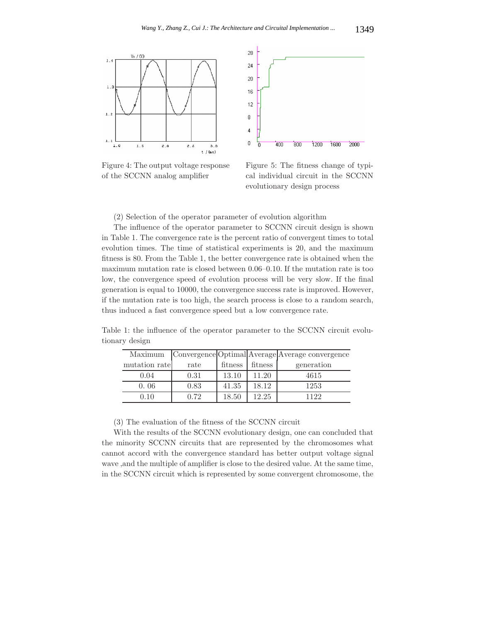

Figure 4: The output voltage response of the SCCNN analog amplifier



Figure 5: The fitness change of typical individual circuit in the SCCNN evolutionary design process

(2) Selection of the operator parameter of evolution algorithm

The influence of the operator parameter to SCCNN circuit design is shown in Table 1. The convergence rate is the percent ratio of convergent times to total evolution times. The time of statistical experiments is 20, and the maximum fitness is 80. From the Table 1, the better convergence rate is obtained when the maximum mutation rate is closed between 0.06–0.10. If the mutation rate is too low, the convergence speed of evolution process will be very slow. If the final generation is equal to 10000, the convergence success rate is improved. However, if the mutation rate is too high, the search process is close to a random search, thus induced a fast convergence speed but a low convergence rate.

| Maximum       |      |         |         | Convergence Optimal Average Average convergence |
|---------------|------|---------|---------|-------------------------------------------------|
| mutation rate | rate | fitness | fitness | generation                                      |
| 0.04          | 0.31 | 13.10   | 11.20   | 4615                                            |
| 0.06          | 0.83 | 41.35   | 18.12   | 1253                                            |
| 0.10          | 0.72 | 18.50   | 12.25   | 1122                                            |

Table 1: the influence of the operator parameter to the SCCNN circuit evolutionary design

(3) The evaluation of the fitness of the SCCNN circuit

With the results of the SCCNN evolutionary design, one can concluded that the minority SCCNN circuits that are represented by the chromosomes what cannot accord with the convergence standard has better output voltage signal wave ,and the multiple of amplifier is close to the desired value. At the same time, in the SCCNN circuit which is represented by some convergent chromosome, the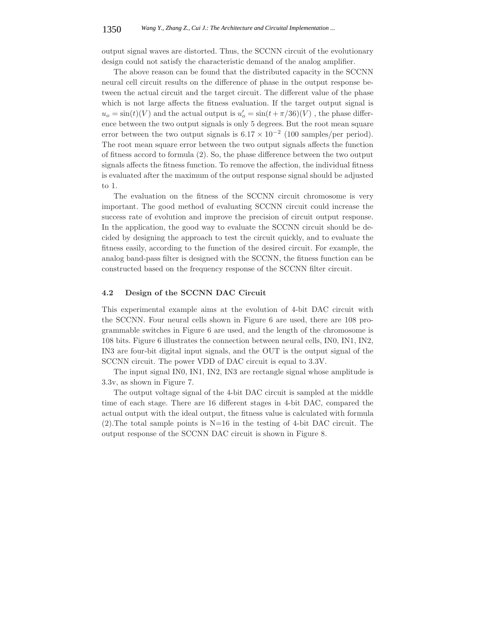output signal waves are distorted. Thus, the SCCNN circuit of the evolutionary design could not satisfy the characteristic demand of the analog amplifier.

The above reason can be found that the distributed capacity in the SCCNN neural cell circuit results on the difference of phase in the output response between the actual circuit and the target circuit. The different value of the phase which is not large affects the fitness evaluation. If the target output signal is  $u_o = \sin(t)(V)$  and the actual output is  $u'_o = \sin(t + \pi/36)(V)$ , the phase difference between the two output signals is only 5 degrees. But the rest mean square ence between the two output signals is only 5 degrees. But the root mean square error between the two output signals is  $6.17 \times 10^{-2}$  (100 samples/per period). The root mean square error between the two output signals affects the function of fitness accord to formula (2). So, the phase difference between the two output signals affects the fitness function. To remove the affection, the individual fitness is evaluated after the maximum of the output response signal should be adjusted to 1.

The evaluation on the fitness of the SCCNN circuit chromosome is very important. The good method of evaluating SCCNN circuit could increase the success rate of evolution and improve the precision of circuit output response. In the application, the good way to evaluate the SCCNN circuit should be decided by designing the approach to test the circuit quickly, and to evaluate the fitness easily, according to the function of the desired circuit. For example, the analog band-pass filter is designed with the SCCNN, the fitness function can be constructed based on the frequency response of the SCCNN filter circuit.

### **4.2 Design of the SCCNN DAC Circuit**

This experimental example aims at the evolution of 4-bit DAC circuit with the SCCNN. Four neural cells shown in Figure 6 are used, there are 108 programmable switches in Figure 6 are used, and the length of the chromosome is 108 bits. Figure 6 illustrates the connection between neural cells, IN0, IN1, IN2, IN3 are four-bit digital input signals, and the OUT is the output signal of the SCCNN circuit. The power VDD of DAC circuit is equal to 3.3V.

The input signal IN0, IN1, IN2, IN3 are rectangle signal whose amplitude is 3.3v, as shown in Figure 7.

The output voltage signal of the 4-bit DAC circuit is sampled at the middle time of each stage. There are 16 different stages in 4-bit DAC, compared the actual output with the ideal output, the fitness value is calculated with formula  $(2)$ . The total sample points is N=16 in the testing of 4-bit DAC circuit. The output response of the SCCNN DAC circuit is shown in Figure 8.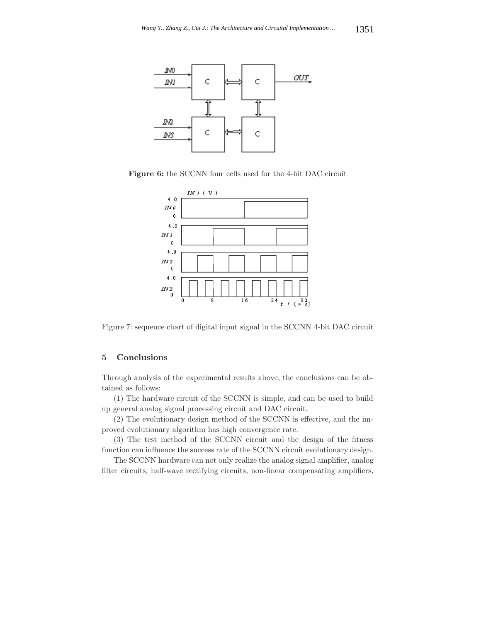

**Figure 6:** the SCCNN four cells used for the 4-bit DAC circuit



Figure 7: sequence chart of digital input signal in the SCCNN 4-bit DAC circuit

### **5 Conclusions**

Through analysis of the experimental results above, the conclusions can be obtained as follows:

(1) The hardware circuit of the SCCNN is simple, and can be used to build up general analog signal processing circuit and DAC circuit.

(2) The evolutionary design method of the SCCNN is effective, and the improved evolutionary algorithm has high convergence rate.

(3) The test method of the SCCNN circuit and the design of the fitness function can influence the success rate of the SCCNN circuit evolutionary design.

The SCCNN hardware can not only realize the analog signal amplifier, analog filter circuits, half-wave rectifying circuits, non-linear compensating amplifiers,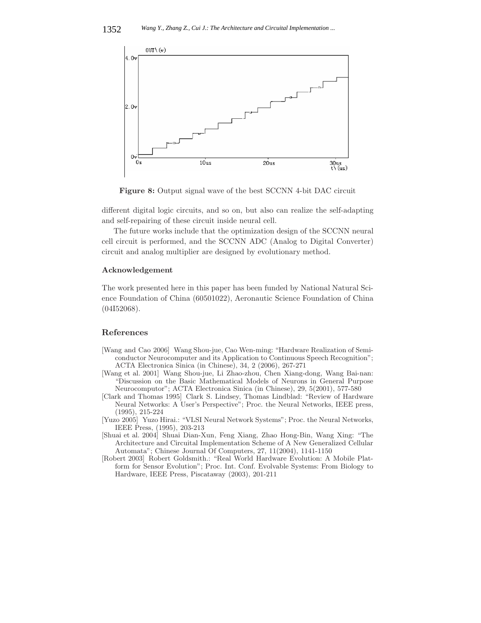

**Figure 8:** Output signal wave of the best SCCNN 4-bit DAC circuit

different digital logic circuits, and so on, but also can realize the self-adapting and self-repairing of these circuit inside neural cell.

The future works include that the optimization design of the SCCNN neural cell circuit is performed, and the SCCNN ADC (Analog to Digital Converter) circuit and analog multiplier are designed by evolutionary method.

### **Acknowledgement**

The work presented here in this paper has been funded by National Natural Science Foundation of China (60501022), Aeronautic Science Foundation of China (04I52068).

### **References**

- [Wang and Cao 2006] Wang Shou-jue, Cao Wen-ming: "Hardware Realization of Semiconductor Neurocomputer and its Application to Continuous Speech Recognition"; ACTA Electronica Sinica (in Chinese), 34, 2 (2006), 267-271
- [Wang et al. 2001] Wang Shou-jue, Li Zhao-zhou, Chen Xiang-dong, Wang Bai-nan: "Discussion on the Basic Mathematical Models of Neurons in General Purpose Neurocomputor"; ACTA Electronica Sinica (in Chinese), 29, 5(2001), 577-580
- [Clark and Thomas 1995] Clark S. Lindsey, Thomas Lindblad: "Review of Hardware Neural Networks: A User's Perspective"; Proc. the Neural Networks, IEEE press, (1995), 215-224
- [Yuzo 2005] Yuzo Hirai.: "VLSI Neural Network Systems"; Proc. the Neural Networks, IEEE Press, (1995), 203-213
- [Shuai et al. 2004] Shuai Dian-Xun, Feng Xiang, Zhao Hong-Bin, Wang Xing: "The Architecture and Circuital Implementation Scheme of A New Generalized Cellular Automata"; Chinese Journal Of Computers, 27, 11(2004), 1141-1150
- [Robert 2003] Robert Goldsmith.: "Real World Hardware Evolution: A Mobile Platform for Sensor Evolution"; Proc. Int. Conf. Evolvable Systems: From Biology to Hardware, IEEE Press, Piscataway (2003), 201-211